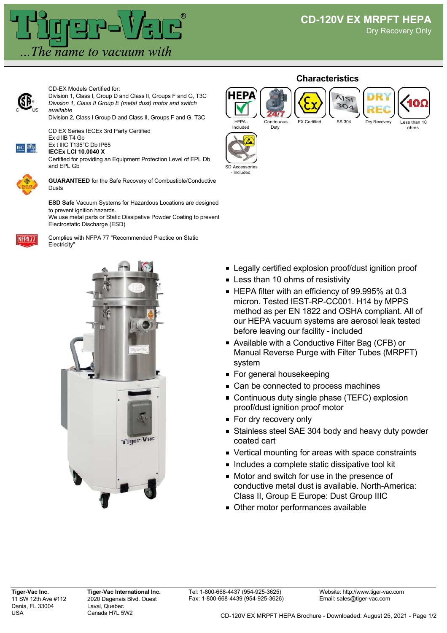

**Characteristics**



CD-EX Models Certified for: Division 1, Class I, Group D and Class II, Groups F and G, T3C *Division 1, Class II Group E (metal dust) motor and switch available*

Division 2, Class I Group D and Class II, Groups F and G, T3C

CD EX Series IECEx 3rd Party Certified Ex d IIB T4 Gb



Ex t IIIC T135°C Db IP65 **IECEx LCI 10.0040 X**

Certified for providing an Equipment Protection Level of EPL Db and EPL Gb



**GUARANTEED** for the Safe Recovery of Combustible/Conductive Dusts

**ESD Safe** Vacuum Systems for Hazardous Locations are designed to prevent ignition hazards. We use metal parts or Static Dissipative Powder Coating to prevent Electrostatic Discharge (ESD)

NFPA<sub>77</sub>

Complies with NFPA 77 "Recommended Practice on Static Electricity"



## HEPA - Included Continuous Duty

HEP/



AISI  $304$ 



SD Accessories - Included

- **Example 2** Legally certified explosion proof/dust ignition proof
- **Example 10 compared Less than 10 ohms of resistivity**
- HEPA filter with an efficiency of 99.995% at 0.3 micron. Tested IEST-RP-CC001. H14 by MPPS method as per EN 1822 and OSHA compliant. All of our HEPA vacuum systems are aerosol leak tested before leaving our facility - included
- Available with a Conductive Filter Bag (CFB) or Manual Reverse Purge with Filter Tubes (MRPFT) system
- For general housekeeping
- Can be connected to process machines
- **Continuous duty single phase (TEFC) explosion** proof/dust ignition proof motor
- For dry recovery only
- **Stainless steel SAE 304 body and heavy duty powder** coated cart
- Vertical mounting for areas with space constraints
- **Includes a complete static dissipative tool kit**
- **Motor and switch for use in the presence of** conductive metal dust is available. North-America: Class II, Group E Europe: Dust Group IIIC
- Other motor performances available

**Tiger-Vac Inc.** 11 SW 12th Ave #112 Dania, FL 33004 USA

**Tiger-Vac International Inc.** 2020 Dagenais Blvd. Ouest Laval, Quebec Canada H7L 5W2

Website: http://www.tiger-vac.com Email: sales@tiger-vac.com